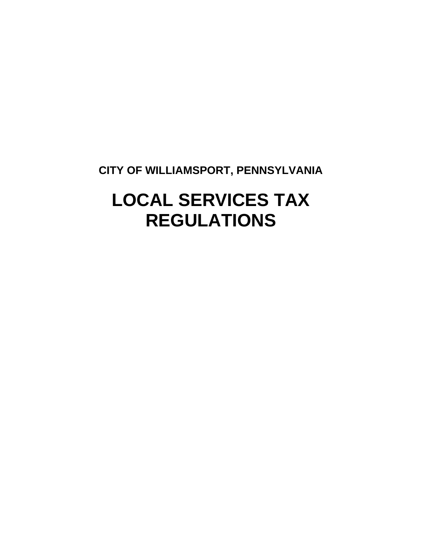**CITY OF WILLIAMSPORT, PENNSYLVANIA**

# **LOCAL SERVICES TAX REGULATIONS**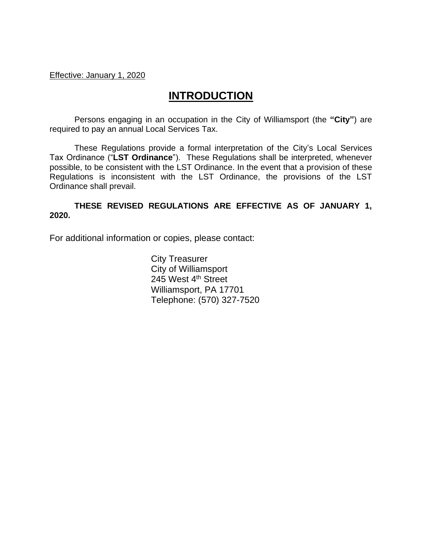Effective: January 1, 2020

## **INTRODUCTION**

Persons engaging in an occupation in the City of Williamsport (the **"City"**) are required to pay an annual Local Services Tax.

These Regulations provide a formal interpretation of the City's Local Services Tax Ordinance ("**LST Ordinance**"). These Regulations shall be interpreted, whenever possible, to be consistent with the LST Ordinance. In the event that a provision of these Regulations is inconsistent with the LST Ordinance, the provisions of the LST Ordinance shall prevail.

#### **THESE REVISED REGULATIONS ARE EFFECTIVE AS OF JANUARY 1, 2020.**

For additional information or copies, please contact:

City Treasurer City of Williamsport 245 West 4<sup>th</sup> Street Williamsport, PA 17701 Telephone: (570) 327-7520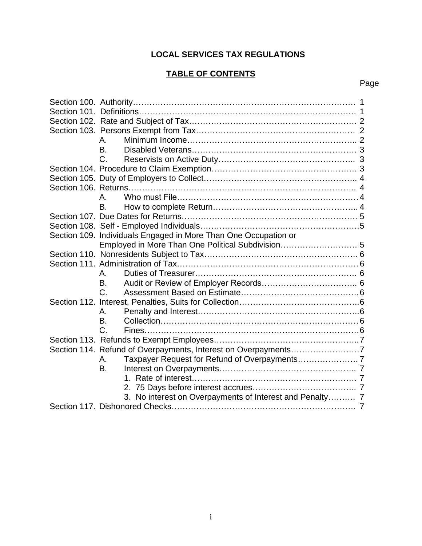## **LOCAL SERVICES TAX REGULATIONS**

## **TABLE OF CONTENTS**

## Page

|  | А.                                                              |  |  |
|--|-----------------------------------------------------------------|--|--|
|  | B.                                                              |  |  |
|  | C.                                                              |  |  |
|  |                                                                 |  |  |
|  |                                                                 |  |  |
|  |                                                                 |  |  |
|  | A                                                               |  |  |
|  | В.                                                              |  |  |
|  |                                                                 |  |  |
|  |                                                                 |  |  |
|  | Section 109. Individuals Engaged in More Than One Occupation or |  |  |
|  | Employed in More Than One Political Subdivision 5               |  |  |
|  |                                                                 |  |  |
|  |                                                                 |  |  |
|  | Α.                                                              |  |  |
|  | В.                                                              |  |  |
|  | $C_{\cdot}$                                                     |  |  |
|  |                                                                 |  |  |
|  | А.                                                              |  |  |
|  | В.                                                              |  |  |
|  | $\mathsf{C}$ .                                                  |  |  |
|  |                                                                 |  |  |
|  | Section 114. Refund of Overpayments, Interest on Overpayments7  |  |  |
|  | А.                                                              |  |  |
|  | B.                                                              |  |  |
|  |                                                                 |  |  |
|  |                                                                 |  |  |
|  | 3. No interest on Overpayments of Interest and Penalty 7        |  |  |
|  |                                                                 |  |  |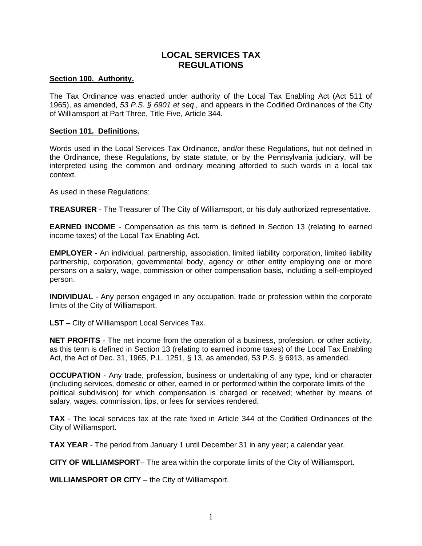## **LOCAL SERVICES TAX REGULATIONS**

#### **Section 100. Authority.**

The Tax Ordinance was enacted under authority of the Local Tax Enabling Act (Act 511 of 1965), as amended, *53 P.S. § 6901 et seq.,* and appears in the Codified Ordinances of the City of Williamsport at Part Three, Title Five, Article 344.

#### **Section 101. Definitions.**

Words used in the Local Services Tax Ordinance, and/or these Regulations, but not defined in the Ordinance, these Regulations, by state statute, or by the Pennsylvania judiciary, will be interpreted using the common and ordinary meaning afforded to such words in a local tax context.

As used in these Regulations:

**TREASURER** - The Treasurer of The City of Williamsport, or his duly authorized representative.

**EARNED INCOME** - Compensation as this term is defined in Section 13 (relating to earned income taxes) of the Local Tax Enabling Act.

**EMPLOYER** - An individual, partnership, association, limited liability corporation, limited liability partnership, corporation, governmental body, agency or other entity employing one or more persons on a salary, wage, commission or other compensation basis, including a self-employed person.

**INDIVIDUAL** - Any person engaged in any occupation, trade or profession within the corporate limits of the City of Williamsport.

**LST –** City of Williamsport Local Services Tax.

**NET PROFITS** - The net income from the operation of a business, profession, or other activity, as this term is defined in Section 13 (relating to earned income taxes) of the Local Tax Enabling Act, the Act of Dec. 31, 1965, P.L. 1251, § 13, as amended, 53 P.S. § 6913, as amended.

**OCCUPATION** - Any trade, profession, business or undertaking of any type, kind or character (including services, domestic or other, earned in or performed within the corporate limits of the political subdivision) for which compensation is charged or received; whether by means of salary, wages, commission, tips, or fees for services rendered.

**TAX** - The local services tax at the rate fixed in Article 344 of the Codified Ordinances of the City of Williamsport.

**TAX YEAR** - The period from January 1 until December 31 in any year; a calendar year.

**CITY OF WILLIAMSPORT**– The area within the corporate limits of the City of Williamsport.

**WILLIAMSPORT OR CITY** – the City of Williamsport.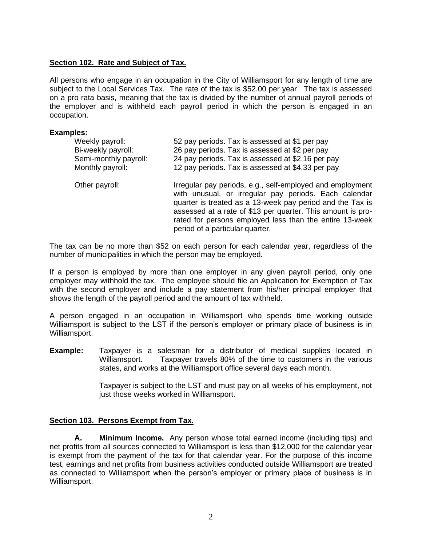#### **Section 102. Rate and Subject of Tax.**

All persons who engage in an occupation in the City of Williamsport for any length of time are subject to the Local Services Tax. The rate of the tax is \$52.00 per year. The tax is assessed on a pro rata basis, meaning that the tax is divided by the number of annual payroll periods of the employer and is withheld each payroll period in which the person is engaged in an occupation.

#### **Examples:**

| Weekly payroll:       | 52 pay periods. Tax is assessed at \$1 per pay                                                                                                                                                                                                                                                                                               |
|-----------------------|----------------------------------------------------------------------------------------------------------------------------------------------------------------------------------------------------------------------------------------------------------------------------------------------------------------------------------------------|
| Bi-weekly payroll:    | 26 pay periods. Tax is assessed at \$2 per pay                                                                                                                                                                                                                                                                                               |
| Semi-monthly payroll: | 24 pay periods. Tax is assessed at \$2.16 per pay                                                                                                                                                                                                                                                                                            |
| Monthly payroll:      | 12 pay periods. Tax is assessed at \$4.33 per pay                                                                                                                                                                                                                                                                                            |
| Other payroll:        | Irregular pay periods, e.g., self-employed and employment<br>with unusual, or irregular pay periods. Each calendar<br>quarter is treated as a 13-week pay period and the Tax is<br>assessed at a rate of \$13 per quarter. This amount is pro-<br>rated for persons employed less than the entire 13-week<br>period of a particular quarter. |

The tax can be no more than \$52 on each person for each calendar year, regardless of the number of municipalities in which the person may be employed.

If a person is employed by more than one employer in any given payroll period, only one employer may withhold the tax. The employee should file an Application for Exemption of Tax with the second employer and include a pay statement from his/her principal employer that shows the length of the payroll period and the amount of tax withheld.

A person engaged in an occupation in Williamsport who spends time working outside Williamsport is subject to the LST if the person's employer or primary place of business is in Williamsport.

**Example:** Taxpayer is a salesman for a distributor of medical supplies located in Williamsport. Taxpayer travels 80% of the time to customers in the various states, and works at the Williamsport office several days each month.

> Taxpayer is subject to the LST and must pay on all weeks of his employment, not just those weeks worked in Williamsport.

#### **Section 103. Persons Exempt from Tax.**

**A. Minimum Income.** Any person whose total earned income (including tips) and net profits from all sources connected to Williamsport is less than \$12,000 for the calendar year is exempt from the payment of the tax for that calendar year. For the purpose of this income test, earnings and net profits from business activities conducted outside Williamsport are treated as connected to Williamsport when the person's employer or primary place of business is in Williamsport.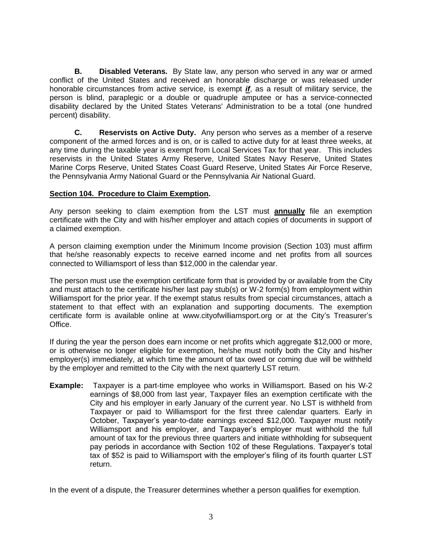**B. Disabled Veterans.** By State law, any person who served in any war or armed conflict of the United States and received an honorable discharge or was released under honorable circumstances from active service, is exempt *if*, as a result of military service, the person is blind, paraplegic or a double or quadruple amputee or has a service-connected disability declared by the United States Veterans' Administration to be a total (one hundred percent) disability.

**C. Reservists on Active Duty.** Any person who serves as a member of a reserve component of the armed forces and is on, or is called to active duty for at least three weeks, at any time during the taxable year is exempt from Local Services Tax for that year. This includes reservists in the United States Army Reserve, United States Navy Reserve, United States Marine Corps Reserve, United States Coast Guard Reserve, United States Air Force Reserve, the Pennsylvania Army National Guard or the Pennsylvania Air National Guard.

#### **Section 104. Procedure to Claim Exemption.**

Any person seeking to claim exemption from the LST must **annually** file an exemption certificate with the City and with his/her employer and attach copies of documents in support of a claimed exemption.

A person claiming exemption under the Minimum Income provision (Section 103) must affirm that he/she reasonably expects to receive earned income and net profits from all sources connected to Williamsport of less than \$12,000 in the calendar year.

The person must use the exemption certificate form that is provided by or available from the City and must attach to the certificate his/her last pay stub(s) or W-2 form(s) from employment within Williamsport for the prior year. If the exempt status results from special circumstances, attach a statement to that effect with an explanation and supporting documents. The exemption certificate form is available online at www.cityofwilliamsport.org or at the City's Treasurer's Office.

If during the year the person does earn income or net profits which aggregate \$12,000 or more, or is otherwise no longer eligible for exemption, he/she must notify both the City and his/her employer(s) immediately, at which time the amount of tax owed or coming due will be withheld by the employer and remitted to the City with the next quarterly LST return.

**Example:** Taxpayer is a part-time employee who works in Williamsport. Based on his W-2 earnings of \$8,000 from last year, Taxpayer files an exemption certificate with the City and his employer in early January of the current year. No LST is withheld from Taxpayer or paid to Williamsport for the first three calendar quarters. Early in October, Taxpayer's year-to-date earnings exceed \$12,000. Taxpayer must notify Williamsport and his employer, and Taxpayer's employer must withhold the full amount of tax for the previous three quarters and initiate withholding for subsequent pay periods in accordance with Section 102 of these Regulations. Taxpayer's total tax of \$52 is paid to Williamsport with the employer's filing of its fourth quarter LST return.

In the event of a dispute, the Treasurer determines whether a person qualifies for exemption.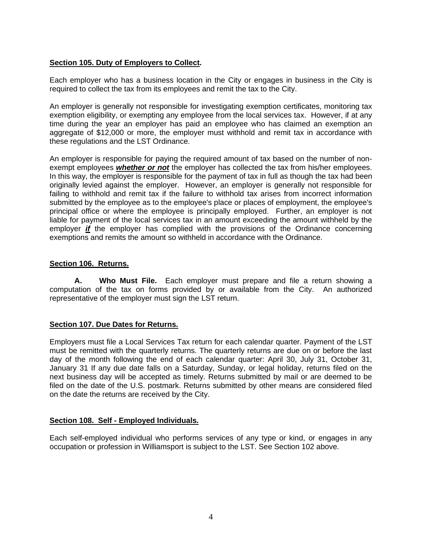#### **Section 105. Duty of Employers to Collect.**

Each employer who has a business location in the City or engages in business in the City is required to collect the tax from its employees and remit the tax to the City.

An employer is generally not responsible for investigating exemption certificates, monitoring tax exemption eligibility, or exempting any employee from the local services tax. However, if at any time during the year an employer has paid an employee who has claimed an exemption an aggregate of \$12,000 or more, the employer must withhold and remit tax in accordance with these regulations and the LST Ordinance.

An employer is responsible for paying the required amount of tax based on the number of nonexempt employees *whether or not* the employer has collected the tax from his/her employees. In this way, the employer is responsible for the payment of tax in full as though the tax had been originally levied against the employer. However, an employer is generally not responsible for failing to withhold and remit tax if the failure to withhold tax arises from incorrect information submitted by the employee as to the employee's place or places of employment, the employee's principal office or where the employee is principally employed. Further, an employer is not liable for payment of the local services tax in an amount exceeding the amount withheld by the employer *if* the employer has complied with the provisions of the Ordinance concerning exemptions and remits the amount so withheld in accordance with the Ordinance.

#### **Section 106. Returns.**

**A. Who Must File.** Each employer must prepare and file a return showing a computation of the tax on forms provided by or available from the City. An authorized representative of the employer must sign the LST return.

#### **Section 107. Due Dates for Returns.**

Employers must file a Local Services Tax return for each calendar quarter. Payment of the LST must be remitted with the quarterly returns. The quarterly returns are due on or before the last day of the month following the end of each calendar quarter: April 30, July 31, October 31, January 31 If any due date falls on a Saturday, Sunday, or legal holiday, returns filed on the next business day will be accepted as timely. Returns submitted by mail or are deemed to be filed on the date of the U.S. postmark. Returns submitted by other means are considered filed on the date the returns are received by the City.

#### **Section 108. Self - Employed Individuals.**

Each self-employed individual who performs services of any type or kind, or engages in any occupation or profession in Williamsport is subject to the LST. See Section 102 above.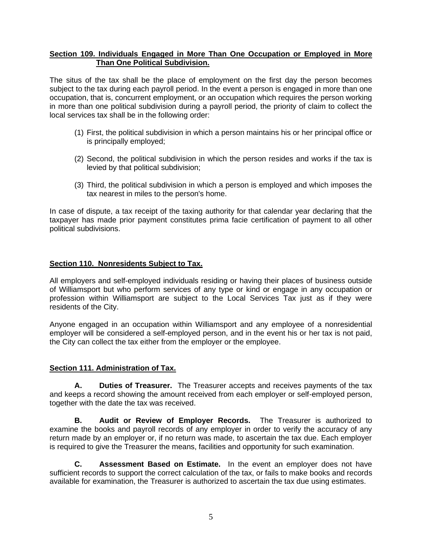#### **Section 109. Individuals Engaged in More Than One Occupation or Employed in More Than One Political Subdivision.**

The situs of the tax shall be the place of employment on the first day the person becomes subject to the tax during each payroll period. In the event a person is engaged in more than one occupation, that is, concurrent employment, or an occupation which requires the person working in more than one political subdivision during a payroll period, the priority of claim to collect the local services tax shall be in the following order:

- (1) First, the political subdivision in which a person maintains his or her principal office or is principally employed;
- (2) Second, the political subdivision in which the person resides and works if the tax is levied by that political subdivision;
- (3) Third, the political subdivision in which a person is employed and which imposes the tax nearest in miles to the person's home.

In case of dispute, a tax receipt of the taxing authority for that calendar year declaring that the taxpayer has made prior payment constitutes prima facie certification of payment to all other political subdivisions.

#### **Section 110. Nonresidents Subject to Tax.**

All employers and self-employed individuals residing or having their places of business outside of Williamsport but who perform services of any type or kind or engage in any occupation or profession within Williamsport are subject to the Local Services Tax just as if they were residents of the City.

Anyone engaged in an occupation within Williamsport and any employee of a nonresidential employer will be considered a self-employed person, and in the event his or her tax is not paid, the City can collect the tax either from the employer or the employee.

#### **Section 111. Administration of Tax.**

**A. Duties of Treasurer.** The Treasurer accepts and receives payments of the tax and keeps a record showing the amount received from each employer or self-employed person, together with the date the tax was received.

**B. Audit or Review of Employer Records.** The Treasurer is authorized to examine the books and payroll records of any employer in order to verify the accuracy of any return made by an employer or, if no return was made, to ascertain the tax due. Each employer is required to give the Treasurer the means, facilities and opportunity for such examination.

**C. Assessment Based on Estimate.** In the event an employer does not have sufficient records to support the correct calculation of the tax, or fails to make books and records available for examination, the Treasurer is authorized to ascertain the tax due using estimates.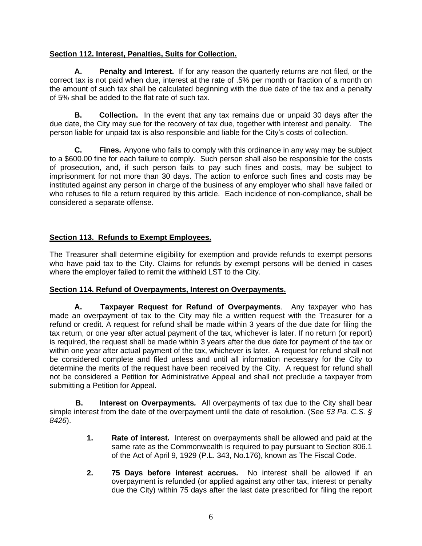#### **Section 112. Interest, Penalties, Suits for Collection.**

**A. Penalty and Interest.** If for any reason the quarterly returns are not filed, or the correct tax is not paid when due, interest at the rate of .5% per month or fraction of a month on the amount of such tax shall be calculated beginning with the due date of the tax and a penalty of 5% shall be added to the flat rate of such tax.

**B. Collection.** In the event that any tax remains due or unpaid 30 days after the due date, the City may sue for the recovery of tax due, together with interest and penalty. The person liable for unpaid tax is also responsible and liable for the City's costs of collection.

**C. Fines.** Anyone who fails to comply with this ordinance in any way may be subject to a \$600.00 fine for each failure to comply. Such person shall also be responsible for the costs of prosecution, and, if such person fails to pay such fines and costs, may be subject to imprisonment for not more than 30 days. The action to enforce such fines and costs may be instituted against any person in charge of the business of any employer who shall have failed or who refuses to file a return required by this article. Each incidence of non-compliance, shall be considered a separate offense.

#### **Section 113. Refunds to Exempt Employees.**

The Treasurer shall determine eligibility for exemption and provide refunds to exempt persons who have paid tax to the City. Claims for refunds by exempt persons will be denied in cases where the employer failed to remit the withheld LST to the City.

#### **Section 114. Refund of Overpayments, Interest on Overpayments.**

**A. Taxpayer Request for Refund of Overpayments**. Any taxpayer who has made an overpayment of tax to the City may file a written request with the Treasurer for a refund or credit. A request for refund shall be made within 3 years of the due date for filing the tax return, or one year after actual payment of the tax, whichever is later. If no return (or report) is required, the request shall be made within 3 years after the due date for payment of the tax or within one year after actual payment of the tax, whichever is later. A request for refund shall not be considered complete and filed unless and until all information necessary for the City to determine the merits of the request have been received by the City. A request for refund shall not be considered a Petition for Administrative Appeal and shall not preclude a taxpayer from submitting a Petition for Appeal.

**B. Interest on Overpayments***.* All overpayments of tax due to the City shall bear simple interest from the date of the overpayment until the date of resolution. (See *53 Pa. C.S. § 8426*).

- **1. Rate of interest.** Interest on overpayments shall be allowed and paid at the same rate as the Commonwealth is required to pay pursuant to Section 806.1 of the Act of April 9, 1929 (P.L. 343, No.176), known as The Fiscal Code.
- **2. 75 Days before interest accrues.** No interest shall be allowed if an overpayment is refunded (or applied against any other tax, interest or penalty due the City) within 75 days after the last date prescribed for filing the report